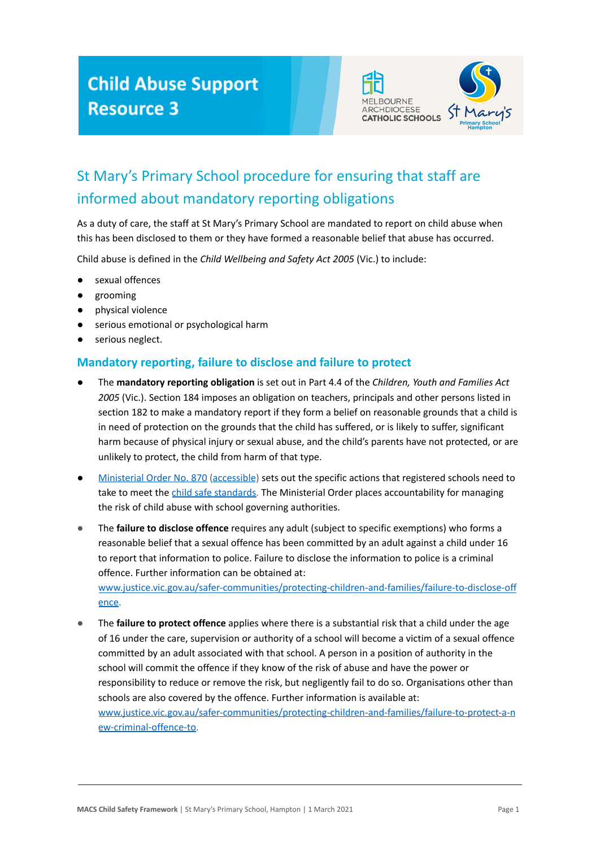## **Child Abuse Support Resource 3**



## St Mary's Primary School procedure for ensuring that staff are informed about mandatory reporting obligations

As a duty of care, the staff at St Mary's Primary School are mandated to report on child abuse when this has been disclosed to them or they have formed a reasonable belief that abuse has occurred.

Child abuse is defined in the *Child Wellbeing and Safety Act 2005* (Vic.) to include:

- sexual offences
- grooming
- physical violence
- serious emotional or psychological harm
- serious neglect.

## **Mandatory reporting, failure to disclose and failure to protect**

- The **mandatory reporting obligation** is set out in Part 4.4 of the *Children, Youth and Families Act 2005* (Vic.). Section 184 imposes an obligation on teachers, principals and other persons listed in section 182 to make a mandatory report if they form a belief on reasonable grounds that a child is in need of protection on the grounds that the child has suffered, or is likely to suffer, significant harm because of physical injury or sexual abuse, and the child's parents have not protected, or are unlikely to protect, the child from harm of that type.
- [Ministerial Order No. 870](https://www.vrqa.vic.gov.au/childsafe/Pages/documents/Min%20Order%20870%20Child%20Safe%20Standards.pdf) [\(accessible](https://www.vrqa.vic.gov.au/childsafe/Pages/documents/Min%20Order%20870%20Child%20Safe%20Standards%20Accessible.docx)) sets out the specific actions that registered schools need to take to meet the [child safe standards.](https://www.vrqa.vic.gov.au/childsafe/Pages/standards.aspx) The Ministerial Order places accountability for managing the risk of child abuse with school governing authorities.
- The **failure to disclose offence** requires any adult (subject to specific exemptions) who forms a reasonable belief that a sexual offence has been committed by an adult against a child under 16 to report that information to police. Failure to disclose the information to police is a criminal offence. Further information can be obtained at:

[www.justice.vic.gov.au/safer-communities/protecting-children-and-families/failure-to-disclose-off](https://www.justice.vic.gov.au/safer-communities/protecting-children-and-families/failure-to-disclose-offence) [ence.](https://www.justice.vic.gov.au/safer-communities/protecting-children-and-families/failure-to-disclose-offence)

The **failure to protect offence** applies where there is a substantial risk that a child under the age of 16 under the care, supervision or authority of a school will become a victim of a sexual offence committed by an adult associated with that school. A person in a position of authority in the school will commit the offence if they know of the risk of abuse and have the power or responsibility to reduce or remove the risk, but negligently fail to do so. Organisations other than schools are also covered by the offence. Further information is available at: [www.justice.vic.gov.au/safer-communities/protecting-children-and-families/failure-to-protect-a-n](https://www.justice.vic.gov.au/safer-communities/protecting-children-and-families/failure-to-protect-a-new-criminal-offence-to) [ew-criminal-offence-to.](https://www.justice.vic.gov.au/safer-communities/protecting-children-and-families/failure-to-protect-a-new-criminal-offence-to)